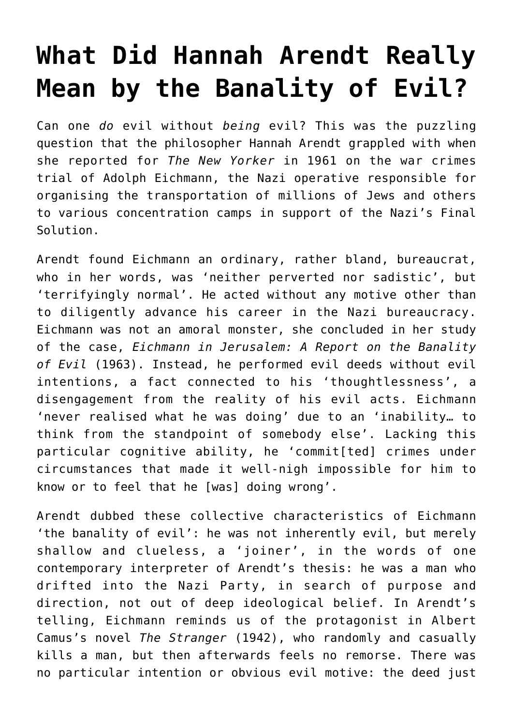## **[What Did Hannah Arendt Really](https://intellectualtakeout.org/2018/04/what-did-hannah-arendt-really-mean-by-the-banality-of-evil/) [Mean by the Banality of Evil?](https://intellectualtakeout.org/2018/04/what-did-hannah-arendt-really-mean-by-the-banality-of-evil/)**

Can one *do* evil without *being* evil? This was the puzzling question that the philosopher Hannah Arendt grappled with when she reported for *The New Yorker* in 1961 on the war crimes trial of Adolph Eichmann, the Nazi operative responsible for organising the transportation of millions of Jews and others to various concentration camps in support of the Nazi's Final Solution.

Arendt found Eichmann an ordinary, rather bland, bureaucrat, who in her words, was 'neither perverted nor sadistic', but 'terrifyingly normal'. He acted without any motive other than to diligently advance his career in the Nazi bureaucracy. Eichmann was not an amoral monster, she concluded in her study of the case, *Eichmann in Jerusalem: A Report on the Banality of Evil* (1963). Instead, he performed evil deeds without evil intentions, a fact connected to his 'thoughtlessness', a disengagement from the reality of his evil acts. Eichmann 'never realised what he was doing' due to an 'inability… to think from the standpoint of somebody else'. Lacking this particular cognitive ability, he 'commit[ted] crimes under circumstances that made it well-nigh impossible for him to know or to feel that he [was] doing wrong'.

Arendt dubbed these collective characteristics of Eichmann 'the banality of evil': he was not inherently evil, but merely shallow and clueless, a 'joiner', in the words of one contemporary interpreter of Arendt's thesis: he was a man who drifted into the Nazi Party, in search of purpose and direction, not out of deep ideological belief. In Arendt's telling, Eichmann reminds us of the protagonist in Albert Camus's novel *The Stranger* (1942), who randomly and casually kills a man, but then afterwards feels no remorse. There was no particular intention or obvious evil motive: the deed just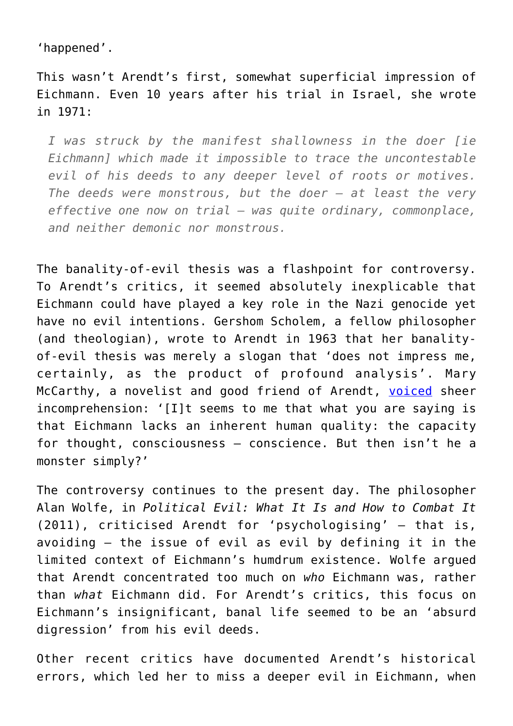'happened'.

This wasn't Arendt's first, somewhat superficial impression of Eichmann. Even 10 years after his trial in Israel, she wrote in 1971:

*I was struck by the manifest shallowness in the doer [ie Eichmann] which made it impossible to trace the uncontestable evil of his deeds to any deeper level of roots or motives. The deeds were monstrous, but the doer – at least the very effective one now on trial – was quite ordinary, commonplace, and neither demonic nor monstrous.*

The banality-of-evil thesis was a flashpoint for controversy. To Arendt's critics, it seemed absolutely inexplicable that Eichmann could have played a key role in the Nazi genocide yet have no evil intentions. Gershom Scholem, a fellow philosopher (and theologian), wrote to Arendt in 1963 that her banalityof-evil thesis was merely a slogan that 'does not impress me, certainly, as the product of profound analysis'. Mary McCarthy, a novelist and good friend of Arendt, [voiced](http://archive.wilsonquarterly.com/essays/note-banality-evil) sheer incomprehension: '[I]t seems to me that what you are saying is that Eichmann lacks an inherent human quality: the capacity for thought, consciousness – conscience. But then isn't he a monster simply?'

The controversy continues to the present day. The philosopher Alan Wolfe, in *Political Evil: What It Is and How to Combat It* (2011), criticised Arendt for 'psychologising' – that is, avoiding – the issue of evil as evil by defining it in the limited context of Eichmann's humdrum existence. Wolfe argued that Arendt concentrated too much on *who* Eichmann was, rather than *what* Eichmann did. For Arendt's critics, this focus on Eichmann's insignificant, banal life seemed to be an 'absurd digression' from his evil deeds.

Other recent critics have documented Arendt's historical errors, which led her to miss a deeper evil in Eichmann, when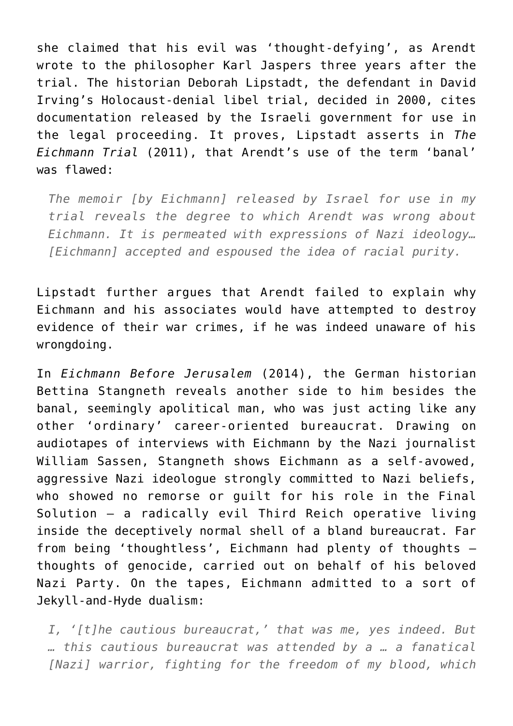she claimed that his evil was 'thought-defying', as Arendt wrote to the philosopher Karl Jaspers three years after the trial. The historian Deborah Lipstadt, the defendant in David Irving's Holocaust-denial libel trial, decided in 2000, cites documentation released by the Israeli government for use in the legal proceeding. It proves, Lipstadt asserts in *The Eichmann Trial* (2011), that Arendt's use of the term 'banal' was flawed:

*The memoir [by Eichmann] released by Israel for use in my trial reveals the degree to which Arendt was wrong about Eichmann. It is permeated with expressions of Nazi ideology… [Eichmann] accepted and espoused the idea of racial purity.*

Lipstadt further argues that Arendt failed to explain why Eichmann and his associates would have attempted to destroy evidence of their war crimes, if he was indeed unaware of his wronadoina.

In *Eichmann Before Jerusalem* (2014), the German historian Bettina Stangneth reveals another side to him besides the banal, seemingly apolitical man, who was just acting like any other 'ordinary' career-oriented bureaucrat. Drawing on audiotapes of interviews with Eichmann by the Nazi journalist William Sassen, Stangneth shows Eichmann as a self-avowed, aggressive Nazi ideologue strongly committed to Nazi beliefs, who showed no remorse or guilt for his role in the Final Solution – a radically evil Third Reich operative living inside the deceptively normal shell of a bland bureaucrat. Far from being 'thoughtless', Eichmann had plenty of thoughts – thoughts of genocide, carried out on behalf of his beloved Nazi Party. On the tapes, Eichmann admitted to a sort of Jekyll-and-Hyde dualism:

*I, '[t]he cautious bureaucrat,' that was me, yes indeed. But … this cautious bureaucrat was attended by a … a fanatical [Nazi] warrior, fighting for the freedom of my blood, which*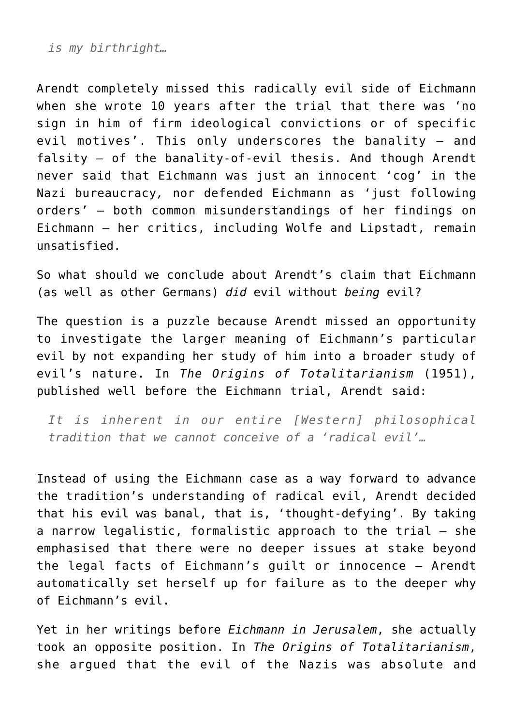## *is my birthright…*

Arendt completely missed this radically evil side of Eichmann when she wrote 10 years after the trial that there was 'no sign in him of firm ideological convictions or of specific evil motives'. This only underscores the banality – and falsity – of the banality-of-evil thesis. And though Arendt never said that Eichmann was just an innocent 'cog' in the Nazi bureaucracy*,* nor defended Eichmann as 'just following orders' – both common misunderstandings of her findings on Eichmann – her critics, including Wolfe and Lipstadt, remain unsatisfied.

So what should we conclude about Arendt's claim that Eichmann (as well as other Germans) *did* evil without *being* evil?

The question is a puzzle because Arendt missed an opportunity to investigate the larger meaning of Eichmann's particular evil by not expanding her study of him into a broader study of evil's nature. In *The Origins of Totalitarianism* (1951), published well before the Eichmann trial, Arendt said:

*It is inherent in our entire [Western] philosophical tradition that we cannot conceive of a 'radical evil'…*

Instead of using the Eichmann case as a way forward to advance the tradition's understanding of radical evil, Arendt decided that his evil was banal, that is, 'thought-defying'. By taking a narrow legalistic, formalistic approach to the trial – she emphasised that there were no deeper issues at stake beyond the legal facts of Eichmann's guilt or innocence – Arendt automatically set herself up for failure as to the deeper why of Eichmann's evil.

Yet in her writings before *Eichmann in Jerusalem*, she actually took an opposite position. In *The Origins of Totalitarianism*, she argued that the evil of the Nazis was absolute and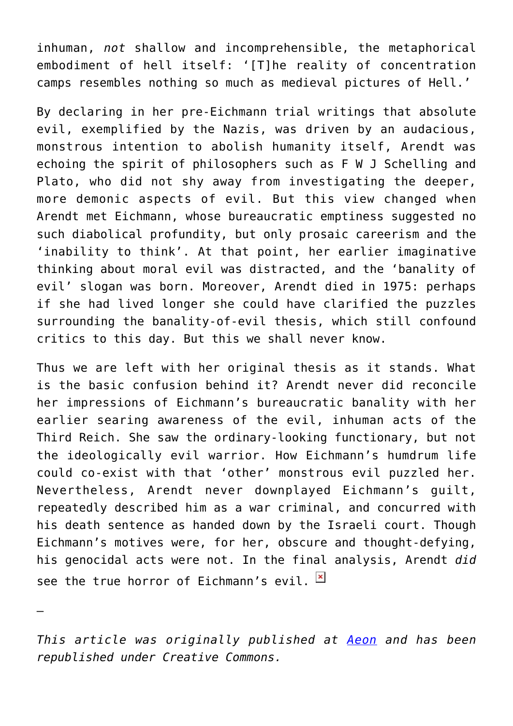inhuman, *not* shallow and incomprehensible, the metaphorical embodiment of hell itself: '[T]he reality of concentration camps resembles nothing so much as medieval pictures of Hell.'

By declaring in her pre-Eichmann trial writings that absolute evil, exemplified by the Nazis, was driven by an audacious, monstrous intention to abolish humanity itself, Arendt was echoing the spirit of philosophers such as F W J Schelling and Plato, who did not shy away from investigating the deeper, more demonic aspects of evil. But this view changed when Arendt met Eichmann, whose bureaucratic emptiness suggested no such diabolical profundity, but only prosaic careerism and the 'inability to think'. At that point, her earlier imaginative thinking about moral evil was distracted, and the 'banality of evil' slogan was born. Moreover, Arendt died in 1975: perhaps if she had lived longer she could have clarified the puzzles surrounding the banality-of-evil thesis, which still confound critics to this day. But this we shall never know.

Thus we are left with her original thesis as it stands. What is the basic confusion behind it? Arendt never did reconcile her impressions of Eichmann's bureaucratic banality with her earlier searing awareness of the evil, inhuman acts of the Third Reich. She saw the ordinary-looking functionary, but not the ideologically evil warrior. How Eichmann's humdrum life could co-exist with that 'other' monstrous evil puzzled her. Nevertheless, Arendt never downplayed Eichmann's guilt, repeatedly described him as a war criminal, and concurred with his death sentence as handed down by the Israeli court. Though Eichmann's motives were, for her, obscure and thought-defying, his genocidal acts were not. In the final analysis, Arendt *did* see the true horror of Eichmann's evil.  $\boxed{\times}$ 

*This article was originally published at [Aeon](https://aeon.co?utm_campaign=republished-article) and has been republished under Creative Commons.*

—